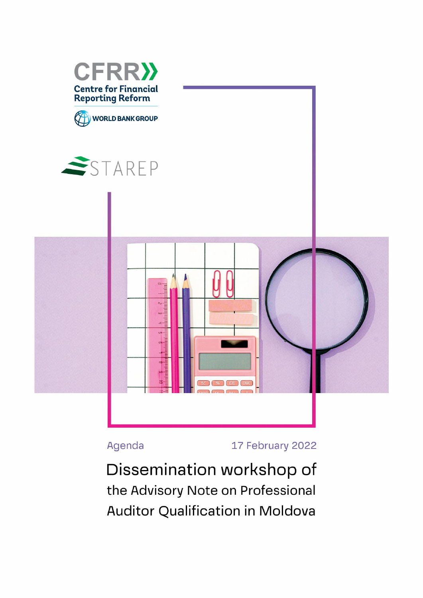

Agenda

17 February 2022

Dissemination workshop of the Advisory Note on Professional **Auditor Qualification in Moldova**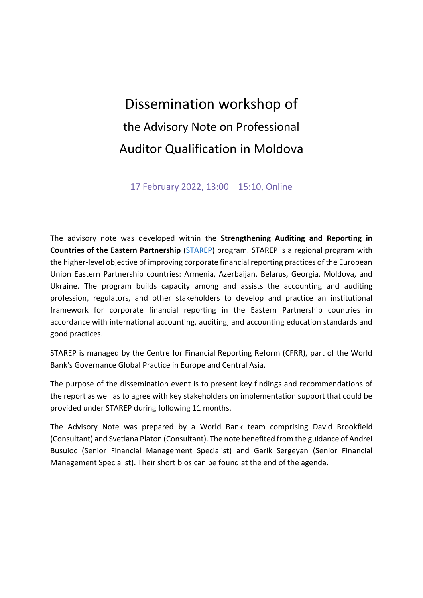# Dissemination workshop of the Advisory Note on Professional Auditor Qualification in Moldova

17 February 2022, 13:00 – 15:10, Online

The advisory note was developed within the **Strengthening Auditing and Reporting in Countries of the Eastern Partnership** [\(STAREP\)](https://cfrr.worldbank.org/programs/starep) program. STAREP is a regional program with the higher-level objective of improving corporate financial reporting practices of the European Union Eastern Partnership countries: Armenia, Azerbaijan, Belarus, Georgia, Moldova, and Ukraine. The program builds capacity among and assists the accounting and auditing profession, regulators, and other stakeholders to develop and practice an institutional framework for corporate financial reporting in the Eastern Partnership countries in accordance with international accounting, auditing, and accounting education standards and good practices.

STAREP is managed by the Centre for Financial Reporting Reform (CFRR), part of the World Bank's Governance Global Practice in Europe and Central Asia.

The purpose of the dissemination event is to present key findings and recommendations of the report as well as to agree with key stakeholders on implementation support that could be provided under STAREP during following 11 months.

The Advisory Note was prepared by a World Bank team comprising David Brookfield (Consultant) and Svetlana Platon (Consultant). The note benefited from the guidance of Andrei Busuioc (Senior Financial Management Specialist) and Garik Sergeyan (Senior Financial Management Specialist). Their short bios can be found at the end of the agenda.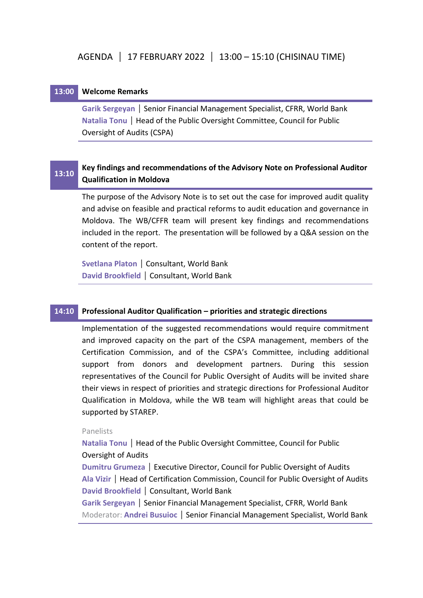## **13:00 Welcome Remarks**

**Garik Sergeyan** | Senior Financial Management Specialist, CFRR, World Bank **Natalia Tonu | Head of the Public Oversight Committee, Council for Public** Oversight of Audits (CSPA)

#### **13:10 Key findings and recommendations of the Advisory Note on Professional Auditor Qualification in Moldova**

The purpose of the Advisory Note is to set out the case for improved audit quality and advise on feasible and practical reforms to audit education and governance in Moldova. The WB/CFFR team will present key findings and recommendations included in the report. The presentation will be followed by a Q&A session on the content of the report.

**Svetlana Platon** | Consultant, World Bank **David Brookfield** | Consultant, World Bank

# **14:10 Professional Auditor Qualification – priorities and strategic directions**

Implementation of the suggested recommendations would require commitment and improved capacity on the part of the CSPA management, members of the Certification Commission, and of the CSPA's Committee, including additional support from donors and development partners. During this session representatives of the Council for Public Oversight of Audits will be invited share their views in respect of priorities and strategic directions for Professional Auditor Qualification in Moldova, while the WB team will highlight areas that could be supported by STAREP.

## Panelists

Natalia Tonu | Head of the Public Oversight Committee, Council for Public Oversight of Audits

**Dumitru Grumeza** | Executive Director, Council for Public Oversight of Audits Ala Vizir | Head of Certification Commission, Council for Public Oversight of Audits **David Brookfield** | Consultant, World Bank

**Garik Sergeyan** | Senior Financial Management Specialist, CFRR, World Bank Moderator: **Andrei Busuioc** | Senior Financial Management Specialist, World Bank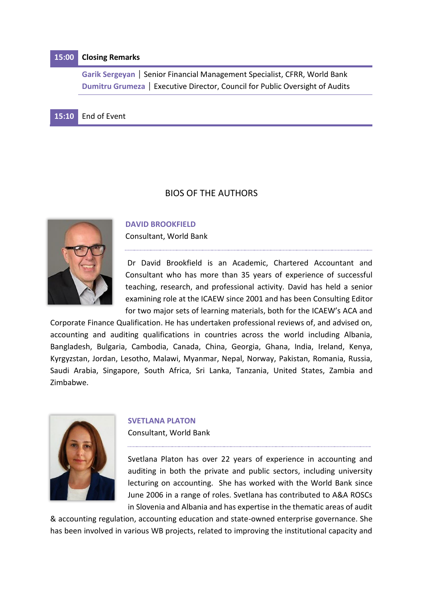# **15:00 Closing Remarks**

**Garik Sergeyan | Senior Financial Management Specialist, CFRR, World Bank Dumitru Grumeza** | Executive Director, Council for Public Oversight of Audits

# **15:10** End of Event

### BIOS OF THE AUTHORS



#### **DAVID BROOKFIELD**

Consultant, World Bank

Dr David Brookfield is an Academic, Chartered Accountant and Consultant who has more than 35 years of experience of successful teaching, research, and professional activity. David has held a senior examining role at the ICAEW since 2001 and has been Consulting Editor for two major sets of learning materials, both for the ICAEW's ACA and

Corporate Finance Qualification. He has undertaken professional reviews of, and advised on, accounting and auditing qualifications in countries across the world including Albania, Bangladesh, Bulgaria, Cambodia, Canada, China, Georgia, Ghana, India, Ireland, Kenya, Kyrgyzstan, Jordan, Lesotho, Malawi, Myanmar, Nepal, Norway, Pakistan, Romania, Russia, Saudi Arabia, Singapore, South Africa, Sri Lanka, Tanzania, United States, Zambia and Zimbabwe.



#### **SVETLANA PLATON**

Consultant, World Bank

Svetlana Platon has over 22 years of experience in accounting and auditing in both the private and public sectors, including university lecturing on accounting. She has worked with the World Bank since June 2006 in a range of roles. Svetlana has contributed to A&A ROSCs in Slovenia and Albania and has expertise in the thematic areas of audit

& accounting regulation, accounting education and state-owned enterprise governance. She has been involved in various WB projects, related to improving the institutional capacity and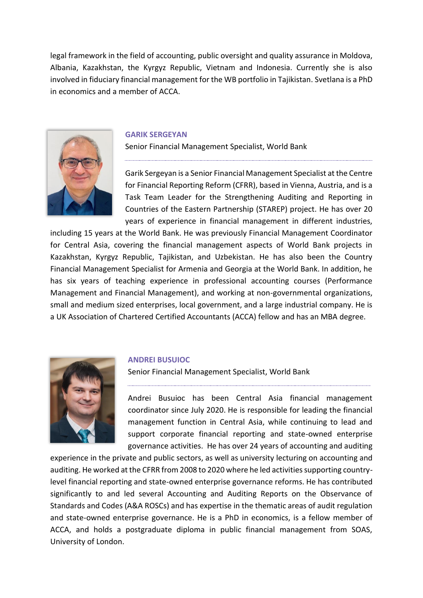legal framework in the field of accounting, public oversight and quality assurance in Moldova, Albania, Kazakhstan, the Kyrgyz Republic, Vietnam and Indonesia. Currently she is also involved in fiduciary financial management for the WB portfolio in Tajikistan. Svetlana is a PhD in economics and a member of ACCA.



#### **GARIK SERGEYAN**

Senior Financial Management Specialist, World Bank

Garik Sergeyan is a Senior Financial Management Specialist at the Centre for Financial Reporting Reform (CFRR), based in Vienna, Austria, and is a Task Team Leader for the Strengthening Auditing and Reporting in Countries of the Eastern Partnership (STAREP) project. He has over 20 years of experience in financial management in different industries,

including 15 years at the World Bank. He was previously Financial Management Coordinator for Central Asia, covering the financial management aspects of World Bank projects in Kazakhstan, Kyrgyz Republic, Tajikistan, and Uzbekistan. He has also been the Country Financial Management Specialist for Armenia and Georgia at the World Bank. In addition, he has six years of teaching experience in professional accounting courses (Performance Management and Financial Management), and working at non-governmental organizations, small and medium sized enterprises, local government, and a large industrial company. He is a UK Association of Chartered Certified Accountants (ACCA) fellow and has an MBA degree.



#### **ANDREI BUSUIOC**

Senior Financial Management Specialist, World Bank

Andrei Busuioc has been Central Asia financial management coordinator since July 2020. He is responsible for leading the financial management function in Central Asia, while continuing to lead and support corporate financial reporting and state-owned enterprise governance activities. He has over 24 years of accounting and auditing

experience in the private and public sectors, as well as university lecturing on accounting and auditing. He worked at the CFRR from 2008 to 2020 where he led activities supporting countrylevel financial reporting and state-owned enterprise governance reforms. He has contributed significantly to and led several Accounting and Auditing Reports on the Observance of Standards and Codes (A&A ROSCs) and has expertise in the thematic areas of audit regulation and state-owned enterprise governance. He is a PhD in economics, is a fellow member of ACCA, and holds a postgraduate diploma in public financial management from SOAS, University of London.